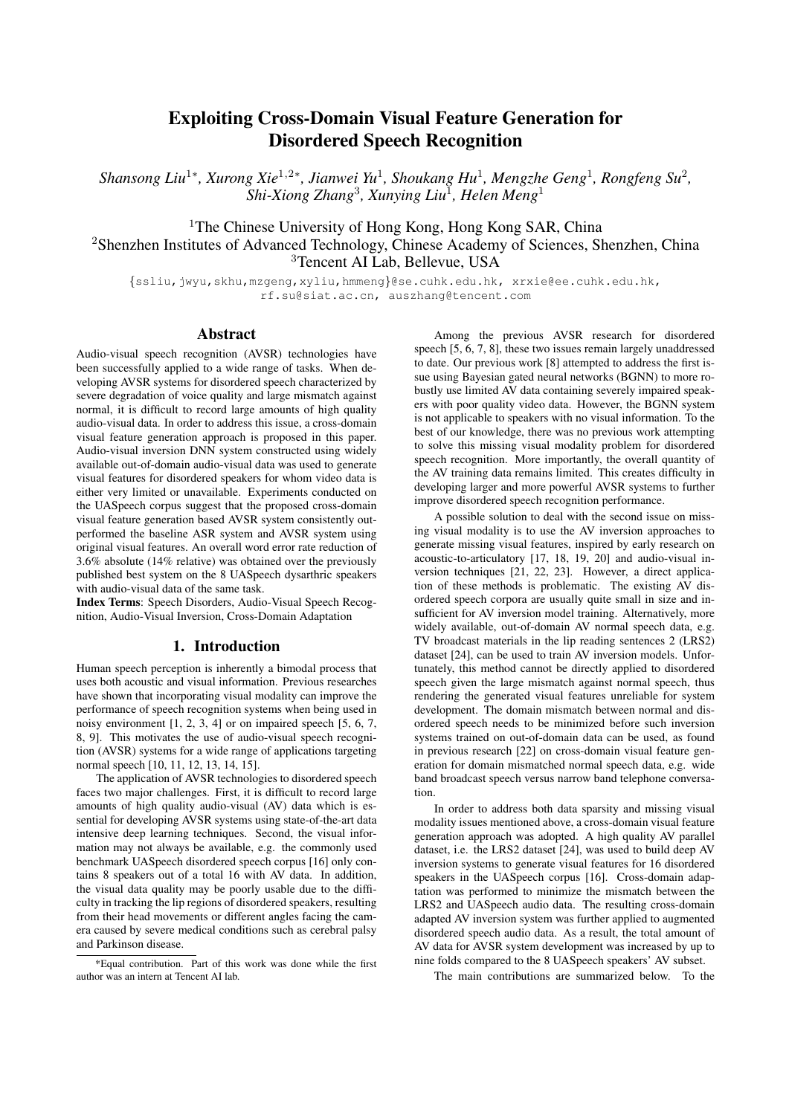# Exploiting Cross-Domain Visual Feature Generation for Disordered Speech Recognition

*Shansong Liu*<sup>1</sup><sup>∗</sup> *, Xurong Xie*<sup>1</sup>,2<sup>∗</sup> *, Jianwei Yu*<sup>1</sup> *, Shoukang Hu*<sup>1</sup> *, Mengzhe Geng*<sup>1</sup> *, Rongfeng Su*<sup>2</sup> *, Shi-Xiong Zhang*<sup>3</sup> *, Xunying Liu*<sup>1</sup> *, Helen Meng*<sup>1</sup>

<sup>1</sup>The Chinese University of Hong Kong, Hong Kong SAR, China <sup>2</sup>Shenzhen Institutes of Advanced Technology, Chinese Academy of Sciences, Shenzhen, China <sup>3</sup>Tencent AI Lab, Bellevue, USA

{ssliu,jwyu,skhu,mzgeng,xyliu,hmmeng}@se.cuhk.edu.hk, xrxie@ee.cuhk.edu.hk, rf.su@siat.ac.cn, auszhang@tencent.com

## Abstract

Audio-visual speech recognition (AVSR) technologies have been successfully applied to a wide range of tasks. When developing AVSR systems for disordered speech characterized by severe degradation of voice quality and large mismatch against normal, it is difficult to record large amounts of high quality audio-visual data. In order to address this issue, a cross-domain visual feature generation approach is proposed in this paper. Audio-visual inversion DNN system constructed using widely available out-of-domain audio-visual data was used to generate visual features for disordered speakers for whom video data is either very limited or unavailable. Experiments conducted on the UASpeech corpus suggest that the proposed cross-domain visual feature generation based AVSR system consistently outperformed the baseline ASR system and AVSR system using original visual features. An overall word error rate reduction of 3.6% absolute (14% relative) was obtained over the previously published best system on the 8 UASpeech dysarthric speakers with audio-visual data of the same task.

Index Terms: Speech Disorders, Audio-Visual Speech Recognition, Audio-Visual Inversion, Cross-Domain Adaptation

## 1. Introduction

Human speech perception is inherently a bimodal process that uses both acoustic and visual information. Previous researches have shown that incorporating visual modality can improve the performance of speech recognition systems when being used in noisy environment [1, 2, 3, 4] or on impaired speech [5, 6, 7, 8, 9]. This motivates the use of audio-visual speech recognition (AVSR) systems for a wide range of applications targeting normal speech [10, 11, 12, 13, 14, 15].

The application of AVSR technologies to disordered speech faces two major challenges. First, it is difficult to record large amounts of high quality audio-visual (AV) data which is essential for developing AVSR systems using state-of-the-art data intensive deep learning techniques. Second, the visual information may not always be available, e.g. the commonly used benchmark UASpeech disordered speech corpus [16] only contains 8 speakers out of a total 16 with AV data. In addition, the visual data quality may be poorly usable due to the difficulty in tracking the lip regions of disordered speakers, resulting from their head movements or different angles facing the camera caused by severe medical conditions such as cerebral palsy and Parkinson disease.

Among the previous AVSR research for disordered speech [5, 6, 7, 8], these two issues remain largely unaddressed to date. Our previous work [8] attempted to address the first issue using Bayesian gated neural networks (BGNN) to more robustly use limited AV data containing severely impaired speakers with poor quality video data. However, the BGNN system is not applicable to speakers with no visual information. To the best of our knowledge, there was no previous work attempting to solve this missing visual modality problem for disordered speech recognition. More importantly, the overall quantity of the AV training data remains limited. This creates difficulty in developing larger and more powerful AVSR systems to further improve disordered speech recognition performance.

A possible solution to deal with the second issue on missing visual modality is to use the AV inversion approaches to generate missing visual features, inspired by early research on acoustic-to-articulatory [17, 18, 19, 20] and audio-visual inversion techniques [21, 22, 23]. However, a direct application of these methods is problematic. The existing AV disordered speech corpora are usually quite small in size and insufficient for AV inversion model training. Alternatively, more widely available, out-of-domain AV normal speech data, e.g. TV broadcast materials in the lip reading sentences 2 (LRS2) dataset [24], can be used to train AV inversion models. Unfortunately, this method cannot be directly applied to disordered speech given the large mismatch against normal speech, thus rendering the generated visual features unreliable for system development. The domain mismatch between normal and disordered speech needs to be minimized before such inversion systems trained on out-of-domain data can be used, as found in previous research [22] on cross-domain visual feature generation for domain mismatched normal speech data, e.g. wide band broadcast speech versus narrow band telephone conversation.

In order to address both data sparsity and missing visual modality issues mentioned above, a cross-domain visual feature generation approach was adopted. A high quality AV parallel dataset, i.e. the LRS2 dataset [24], was used to build deep AV inversion systems to generate visual features for 16 disordered speakers in the UASpeech corpus [16]. Cross-domain adaptation was performed to minimize the mismatch between the LRS2 and UASpeech audio data. The resulting cross-domain adapted AV inversion system was further applied to augmented disordered speech audio data. As a result, the total amount of AV data for AVSR system development was increased by up to nine folds compared to the 8 UASpeech speakers' AV subset.

The main contributions are summarized below. To the

<sup>\*</sup>Equal contribution. Part of this work was done while the first author was an intern at Tencent AI lab.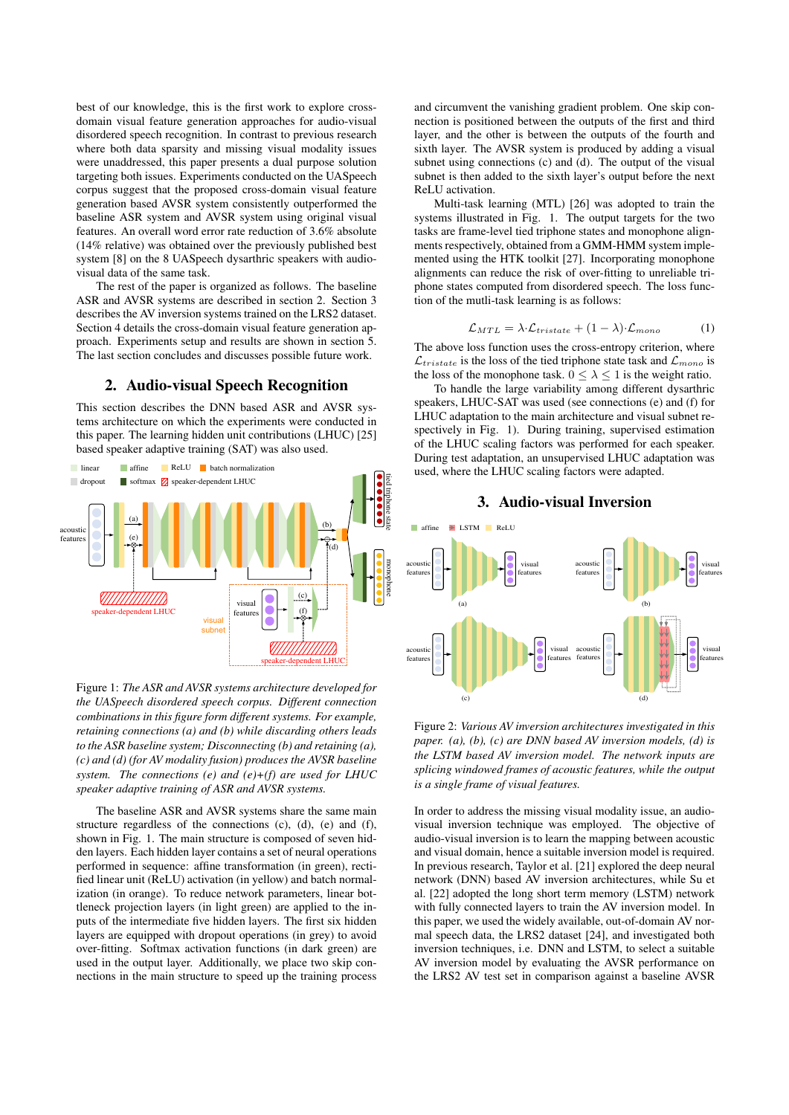best of our knowledge, this is the first work to explore crossdomain visual feature generation approaches for audio-visual disordered speech recognition. In contrast to previous research where both data sparsity and missing visual modality issues were unaddressed, this paper presents a dual purpose solution targeting both issues. Experiments conducted on the UASpeech corpus suggest that the proposed cross-domain visual feature generation based AVSR system consistently outperformed the baseline ASR system and AVSR system using original visual features. An overall word error rate reduction of 3.6% absolute (14% relative) was obtained over the previously published best system [8] on the 8 UASpeech dysarthric speakers with audiovisual data of the same task.

The rest of the paper is organized as follows. The baseline ASR and AVSR systems are described in section 2. Section 3 describes the AV inversion systems trained on the LRS2 dataset. Section 4 details the cross-domain visual feature generation approach. Experiments setup and results are shown in section 5. The last section concludes and discusses possible future work.

## 2. Audio-visual Speech Recognition

This section describes the DNN based ASR and AVSR systems architecture on which the experiments were conducted in this paper. The learning hidden unit contributions (LHUC) [25] based speaker adaptive training (SAT) was also used.



Figure 1: *The ASR and AVSR systems architecture developed for the UASpeech disordered speech corpus. Different connection combinations in this figure form different systems. For example, retaining connections (a) and (b) while discarding others leads to the ASR baseline system; Disconnecting (b) and retaining (a), (c) and (d) (for AV modality fusion) produces the AVSR baseline system. The connections (e) and (e)+(f) are used for LHUC speaker adaptive training of ASR and AVSR systems.*

The baseline ASR and AVSR systems share the same main structure regardless of the connections (c), (d), (e) and (f), shown in Fig. 1. The main structure is composed of seven hidden layers. Each hidden layer contains a set of neural operations performed in sequence: affine transformation (in green), rectified linear unit (ReLU) activation (in yellow) and batch normalization (in orange). To reduce network parameters, linear bottleneck projection layers (in light green) are applied to the inputs of the intermediate five hidden layers. The first six hidden layers are equipped with dropout operations (in grey) to avoid over-fitting. Softmax activation functions (in dark green) are used in the output layer. Additionally, we place two skip connections in the main structure to speed up the training process and circumvent the vanishing gradient problem. One skip connection is positioned between the outputs of the first and third layer, and the other is between the outputs of the fourth and sixth layer. The AVSR system is produced by adding a visual subnet using connections (c) and (d). The output of the visual subnet is then added to the sixth layer's output before the next ReLU activation.

Multi-task learning (MTL) [26] was adopted to train the systems illustrated in Fig. 1. The output targets for the two tasks are frame-level tied triphone states and monophone alignments respectively, obtained from a GMM-HMM system implemented using the HTK toolkit [27]. Incorporating monophone alignments can reduce the risk of over-fitting to unreliable triphone states computed from disordered speech. The loss function of the mutli-task learning is as follows:

$$
\mathcal{L}_{MTL} = \lambda \cdot \mathcal{L}_{tristate} + (1 - \lambda) \cdot \mathcal{L}_{mono}
$$
 (1)

The above loss function uses the cross-entropy criterion, where  $\mathcal{L}_{tristate}$  is the loss of the tied triphone state task and  $\mathcal{L}_{mono}$  is the loss of the monophone task.  $0 \leq \lambda \leq 1$  is the weight ratio.

To handle the large variability among different dysarthric speakers, LHUC-SAT was used (see connections (e) and (f) for LHUC adaptation to the main architecture and visual subnet respectively in Fig. 1). During training, supervised estimation of the LHUC scaling factors was performed for each speaker. During test adaptation, an unsupervised LHUC adaptation was used, where the LHUC scaling factors were adapted.

3. Audio-visual Inversion



Figure 2: *Various AV inversion architectures investigated in this paper. (a), (b), (c) are DNN based AV inversion models, (d) is the LSTM based AV inversion model. The network inputs are splicing windowed frames of acoustic features, while the output is a single frame of visual features.*

In order to address the missing visual modality issue, an audiovisual inversion technique was employed. The objective of audio-visual inversion is to learn the mapping between acoustic and visual domain, hence a suitable inversion model is required. In previous research, Taylor et al. [21] explored the deep neural network (DNN) based AV inversion architectures, while Su et al. [22] adopted the long short term memory (LSTM) network with fully connected layers to train the AV inversion model. In this paper, we used the widely available, out-of-domain AV normal speech data, the LRS2 dataset [24], and investigated both inversion techniques, i.e. DNN and LSTM, to select a suitable AV inversion model by evaluating the AVSR performance on the LRS2 AV test set in comparison against a baseline AVSR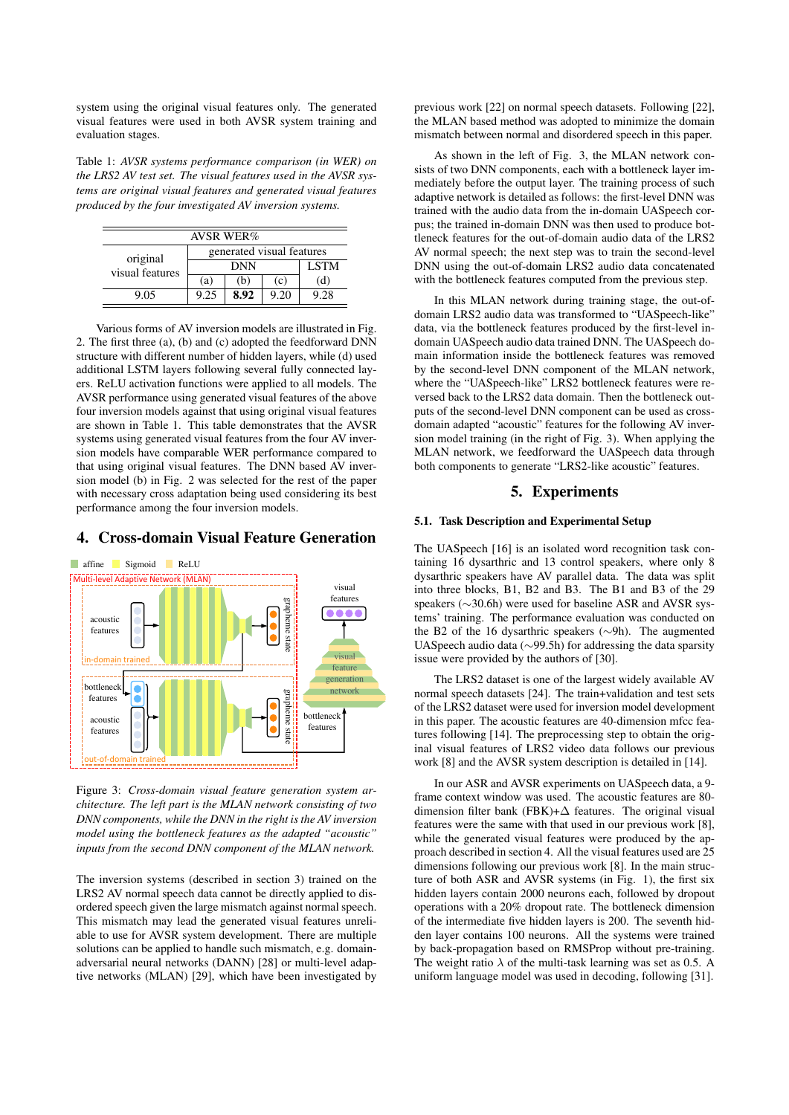system using the original visual features only. The generated visual features were used in both AVSR system training and evaluation stages.

Table 1: *AVSR systems performance comparison (in WER) on the LRS2 AV test set. The visual features used in the AVSR systems are original visual features and generated visual features produced by the four investigated AV inversion systems.*

| <b>AVSR WER</b> %           |                           |             |      |      |  |  |  |
|-----------------------------|---------------------------|-------------|------|------|--|--|--|
| original<br>visual features | generated visual features |             |      |      |  |  |  |
|                             |                           | <b>LSTM</b> |      |      |  |  |  |
|                             | (a)                       | (b)         | (c)  | (d)  |  |  |  |
| 9.05                        | 9.25                      | 8.92        | 9.20 | 9.28 |  |  |  |

Various forms of AV inversion models are illustrated in Fig. 2. The first three (a), (b) and (c) adopted the feedforward DNN structure with different number of hidden layers, while (d) used additional LSTM layers following several fully connected layers. ReLU activation functions were applied to all models. The AVSR performance using generated visual features of the above four inversion models against that using original visual features are shown in Table 1. This table demonstrates that the AVSR systems using generated visual features from the four AV inversion models have comparable WER performance compared to that using original visual features. The DNN based AV inversion model (b) in Fig. 2 was selected for the rest of the paper with necessary cross adaptation being used considering its best performance among the four inversion models.

## 4. Cross-domain Visual Feature Generation



Figure 3: *Cross-domain visual feature generation system architecture. The left part is the MLAN network consisting of two DNN components, while the DNN in the right is the AV inversion model using the bottleneck features as the adapted "acoustic" inputs from the second DNN component of the MLAN network.*

The inversion systems (described in section 3) trained on the LRS2 AV normal speech data cannot be directly applied to disordered speech given the large mismatch against normal speech. This mismatch may lead the generated visual features unreliable to use for AVSR system development. There are multiple solutions can be applied to handle such mismatch, e.g. domainadversarial neural networks (DANN) [28] or multi-level adaptive networks (MLAN) [29], which have been investigated by

previous work [22] on normal speech datasets. Following [22], the MLAN based method was adopted to minimize the domain mismatch between normal and disordered speech in this paper.

As shown in the left of Fig. 3, the MLAN network consists of two DNN components, each with a bottleneck layer immediately before the output layer. The training process of such adaptive network is detailed as follows: the first-level DNN was trained with the audio data from the in-domain UASpeech corpus; the trained in-domain DNN was then used to produce bottleneck features for the out-of-domain audio data of the LRS2 AV normal speech; the next step was to train the second-level DNN using the out-of-domain LRS2 audio data concatenated with the bottleneck features computed from the previous step.

In this MLAN network during training stage, the out-ofdomain LRS2 audio data was transformed to "UASpeech-like" data, via the bottleneck features produced by the first-level indomain UASpeech audio data trained DNN. The UASpeech domain information inside the bottleneck features was removed by the second-level DNN component of the MLAN network, where the "UASpeech-like" LRS2 bottleneck features were reversed back to the LRS2 data domain. Then the bottleneck outputs of the second-level DNN component can be used as crossdomain adapted "acoustic" features for the following AV inversion model training (in the right of Fig. 3). When applying the MLAN network, we feedforward the UASpeech data through both components to generate "LRS2-like acoustic" features.

## 5. Experiments

### 5.1. Task Description and Experimental Setup

The UASpeech [16] is an isolated word recognition task containing 16 dysarthric and 13 control speakers, where only 8 dysarthric speakers have AV parallel data. The data was split into three blocks, B1, B2 and B3. The B1 and B3 of the 29 speakers (∼30.6h) were used for baseline ASR and AVSR systems' training. The performance evaluation was conducted on the B2 of the 16 dysarthric speakers (∼9h). The augmented UASpeech audio data (∼99.5h) for addressing the data sparsity issue were provided by the authors of [30].

The LRS2 dataset is one of the largest widely available AV normal speech datasets [24]. The train+validation and test sets of the LRS2 dataset were used for inversion model development in this paper. The acoustic features are 40-dimension mfcc features following [14]. The preprocessing step to obtain the original visual features of LRS2 video data follows our previous work [8] and the AVSR system description is detailed in [14].

In our ASR and AVSR experiments on UASpeech data, a 9 frame context window was used. The acoustic features are 80 dimension filter bank (FBK)+∆ features. The original visual features were the same with that used in our previous work [8], while the generated visual features were produced by the approach described in section 4. All the visual features used are 25 dimensions following our previous work [8]. In the main structure of both ASR and AVSR systems (in Fig. 1), the first six hidden layers contain 2000 neurons each, followed by dropout operations with a 20% dropout rate. The bottleneck dimension of the intermediate five hidden layers is 200. The seventh hidden layer contains 100 neurons. All the systems were trained by back-propagation based on RMSProp without pre-training. The weight ratio  $\lambda$  of the multi-task learning was set as 0.5. A uniform language model was used in decoding, following [31].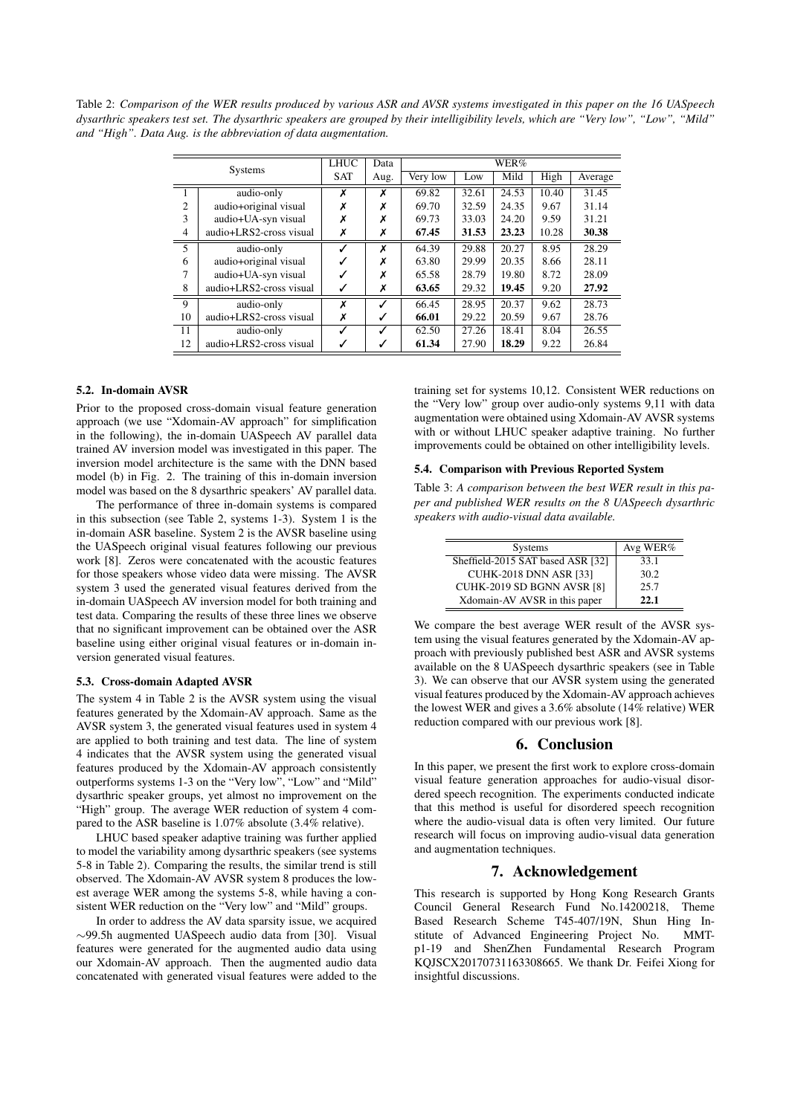Table 2: *Comparison of the WER results produced by various ASR and AVSR systems investigated in this paper on the 16 UASpeech dysarthric speakers test set. The dysarthric speakers are grouped by their intelligibility levels, which are "Very low", "Low", "Mild" and "High". Data Aug. is the abbreviation of data augmentation.*

| <b>Systems</b> |                         | <b>LHUC</b> | Data | WER%     |       |       |       |         |
|----------------|-------------------------|-------------|------|----------|-------|-------|-------|---------|
|                |                         | <b>SAT</b>  | Aug. | Very low | Low   | Mild  | High  | Average |
|                | audio-only              | X           | х    | 69.82    | 32.61 | 24.53 | 10.40 | 31.45   |
| 2              | audio+original visual   | Х           |      | 69.70    | 32.59 | 24.35 | 9.67  | 31.14   |
| 3              | audio+UA-syn visual     | Х           |      | 69.73    | 33.03 | 24.20 | 9.59  | 31.21   |
| $\overline{4}$ | audio+LRS2-cross visual | Х           | х    | 67.45    | 31.53 | 23.23 | 10.28 | 30.38   |
| 5              | audio-only              |             | X    | 64.39    | 29.88 | 20.27 | 8.95  | 28.29   |
| 6              | audio+original visual   | ✓           | х    | 63.80    | 29.99 | 20.35 | 8.66  | 28.11   |
| 7              | audio+UA-syn visual     |             |      | 65.58    | 28.79 | 19.80 | 8.72  | 28.09   |
| 8              | audio+LRS2-cross visual | ✓           | х    | 63.65    | 29.32 | 19.45 | 9.20  | 27.92   |
| 9              | audio-only              | x           | ℐ    | 66.45    | 28.95 | 20.37 | 9.62  | 28.73   |
| 10             | audio+LRS2-cross visual | X           | ✓    | 66.01    | 29.22 | 20.59 | 9.67  | 28.76   |
| 11             | audio-only              | ✓           | ℐ    | 62.50    | 27.26 | 18.41 | 8.04  | 26.55   |
| 12             | audio+LRS2-cross visual | ✓           | ✓    | 61.34    | 27.90 | 18.29 | 9.22  | 26.84   |

#### 5.2. In-domain AVSR

Prior to the proposed cross-domain visual feature generation approach (we use "Xdomain-AV approach" for simplification in the following), the in-domain UASpeech AV parallel data trained AV inversion model was investigated in this paper. The inversion model architecture is the same with the DNN based model (b) in Fig. 2. The training of this in-domain inversion model was based on the 8 dysarthric speakers' AV parallel data.

The performance of three in-domain systems is compared in this subsection (see Table 2, systems 1-3). System 1 is the in-domain ASR baseline. System 2 is the AVSR baseline using the UASpeech original visual features following our previous work [8]. Zeros were concatenated with the acoustic features for those speakers whose video data were missing. The AVSR system 3 used the generated visual features derived from the in-domain UASpeech AV inversion model for both training and test data. Comparing the results of these three lines we observe that no significant improvement can be obtained over the ASR baseline using either original visual features or in-domain inversion generated visual features.

#### 5.3. Cross-domain Adapted AVSR

The system 4 in Table 2 is the AVSR system using the visual features generated by the Xdomain-AV approach. Same as the AVSR system 3, the generated visual features used in system 4 are applied to both training and test data. The line of system 4 indicates that the AVSR system using the generated visual features produced by the Xdomain-AV approach consistently outperforms systems 1-3 on the "Very low", "Low" and "Mild" dysarthric speaker groups, yet almost no improvement on the "High" group. The average WER reduction of system 4 compared to the ASR baseline is 1.07% absolute (3.4% relative).

LHUC based speaker adaptive training was further applied to model the variability among dysarthric speakers (see systems 5-8 in Table 2). Comparing the results, the similar trend is still observed. The Xdomain-AV AVSR system 8 produces the lowest average WER among the systems 5-8, while having a consistent WER reduction on the "Very low" and "Mild" groups.

In order to address the AV data sparsity issue, we acquired ∼99.5h augmented UASpeech audio data from [30]. Visual features were generated for the augmented audio data using our Xdomain-AV approach. Then the augmented audio data concatenated with generated visual features were added to the training set for systems 10,12. Consistent WER reductions on the "Very low" group over audio-only systems 9,11 with data augmentation were obtained using Xdomain-AV AVSR systems with or without LHUC speaker adaptive training. No further improvements could be obtained on other intelligibility levels.

## 5.4. Comparison with Previous Reported System

Table 3: *A comparison between the best WER result in this paper and published WER results on the 8 UASpeech dysarthric speakers with audio-visual data available.*

| <b>Systems</b>                    | Avg WER% |
|-----------------------------------|----------|
| Sheffield-2015 SAT based ASR [32] | 33.1     |
| <b>CUHK-2018 DNN ASR [33]</b>     | 30.2     |
| CUHK-2019 SD BGNN AVSR [8]        | 25.7     |
| Xdomain-AV AVSR in this paper     | 22.1     |

We compare the best average WER result of the AVSR system using the visual features generated by the Xdomain-AV approach with previously published best ASR and AVSR systems available on the 8 UASpeech dysarthric speakers (see in Table 3). We can observe that our AVSR system using the generated visual features produced by the Xdomain-AV approach achieves the lowest WER and gives a 3.6% absolute (14% relative) WER reduction compared with our previous work [8].

#### 6. Conclusion

In this paper, we present the first work to explore cross-domain visual feature generation approaches for audio-visual disordered speech recognition. The experiments conducted indicate that this method is useful for disordered speech recognition where the audio-visual data is often very limited. Our future research will focus on improving audio-visual data generation and augmentation techniques.

## 7. Acknowledgement

This research is supported by Hong Kong Research Grants Council General Research Fund No.14200218, Theme Based Research Scheme T45-407/19N, Shun Hing Institute of Advanced Engineering Project No. MMTp1-19 and ShenZhen Fundamental Research Program KQJSCX20170731163308665. We thank Dr. Feifei Xiong for insightful discussions.